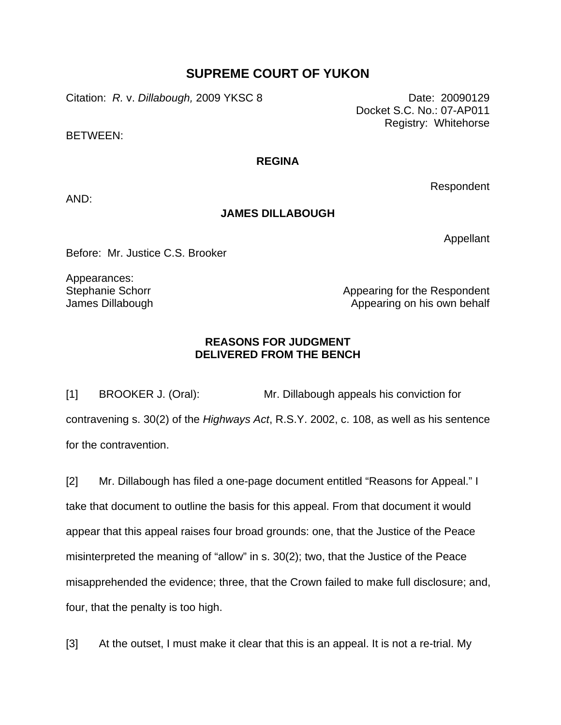## **SUPREME COURT OF YUKON**

Citation: *R.* v. *Dillabough,* 2009 YKSC 8 Date: 20090129

BETWEEN:

## **REGINA**

AND:

## **JAMES DILLABOUGH**

Appellant

Respondent

Before: Mr. Justice C.S. Brooker

Appearances: Stephanie Schorr James Dillabough

Appearing for the Respondent Appearing on his own behalf

## **REASONS FOR JUDGMENT DELIVERED FROM THE BENCH**

[1] BROOKER J. (Oral): Mr. Dillabough appeals his conviction for contravening s. 30(2) of the *Highways Act*, R.S.Y. 2002, c. 108, as well as his sentence for the contravention.

[2] Mr. Dillabough has filed a one-page document entitled "Reasons for Appeal." I take that document to outline the basis for this appeal. From that document it would appear that this appeal raises four broad grounds: one, that the Justice of the Peace misinterpreted the meaning of "allow" in s. 30(2); two, that the Justice of the Peace misapprehended the evidence; three, that the Crown failed to make full disclosure; and, four, that the penalty is too high.

[3] At the outset, I must make it clear that this is an appeal. It is not a re-trial. My

Docket S.C. No.: 07-AP011 Registry: Whitehorse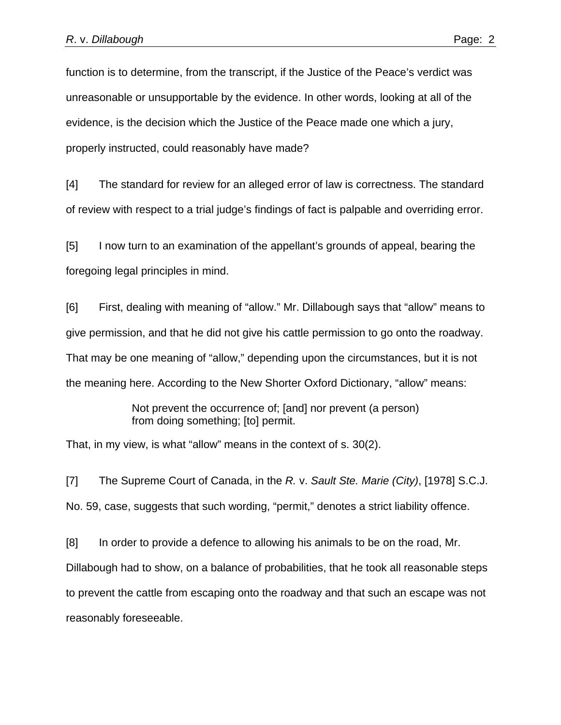function is to determine, from the transcript, if the Justice of the Peace's verdict was unreasonable or unsupportable by the evidence. In other words, looking at all of the evidence, is the decision which the Justice of the Peace made one which a jury, properly instructed, could reasonably have made?

[4] The standard for review for an alleged error of law is correctness. The standard of review with respect to a trial judge's findings of fact is palpable and overriding error.

[5] I now turn to an examination of the appellant's grounds of appeal, bearing the foregoing legal principles in mind.

[6] First, dealing with meaning of "allow." Mr. Dillabough says that "allow" means to give permission, and that he did not give his cattle permission to go onto the roadway. That may be one meaning of "allow," depending upon the circumstances, but it is not the meaning here. According to the New Shorter Oxford Dictionary, "allow" means:

> Not prevent the occurrence of; [and] nor prevent (a person) from doing something; [to] permit.

That, in my view, is what "allow" means in the context of s. 30(2).

[7] The Supreme Court of Canada, in the *R.* v. *Sault Ste. Marie (City)*, [1978] S.C.J. No. 59, case, suggests that such wording, "permit," denotes a strict liability offence.

[8] In order to provide a defence to allowing his animals to be on the road, Mr.

Dillabough had to show, on a balance of probabilities, that he took all reasonable steps to prevent the cattle from escaping onto the roadway and that such an escape was not reasonably foreseeable.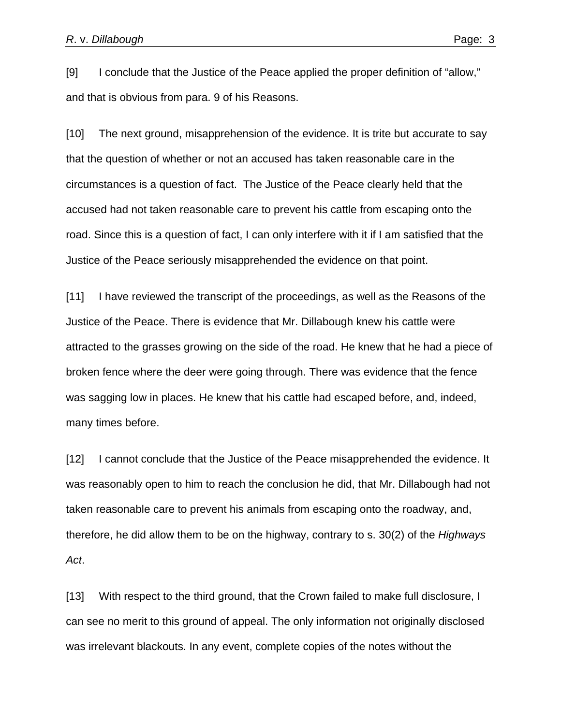[9] I conclude that the Justice of the Peace applied the proper definition of "allow," and that is obvious from para. 9 of his Reasons.

[10] The next ground, misapprehension of the evidence. It is trite but accurate to say that the question of whether or not an accused has taken reasonable care in the circumstances is a question of fact. The Justice of the Peace clearly held that the accused had not taken reasonable care to prevent his cattle from escaping onto the road. Since this is a question of fact, I can only interfere with it if I am satisfied that the Justice of the Peace seriously misapprehended the evidence on that point.

[11] I have reviewed the transcript of the proceedings, as well as the Reasons of the Justice of the Peace. There is evidence that Mr. Dillabough knew his cattle were attracted to the grasses growing on the side of the road. He knew that he had a piece of broken fence where the deer were going through. There was evidence that the fence was sagging low in places. He knew that his cattle had escaped before, and, indeed, many times before.

[12] I cannot conclude that the Justice of the Peace misapprehended the evidence. It was reasonably open to him to reach the conclusion he did, that Mr. Dillabough had not taken reasonable care to prevent his animals from escaping onto the roadway, and, therefore, he did allow them to be on the highway, contrary to s. 30(2) of the *Highways Act*.

[13] With respect to the third ground, that the Crown failed to make full disclosure, I can see no merit to this ground of appeal. The only information not originally disclosed was irrelevant blackouts. In any event, complete copies of the notes without the